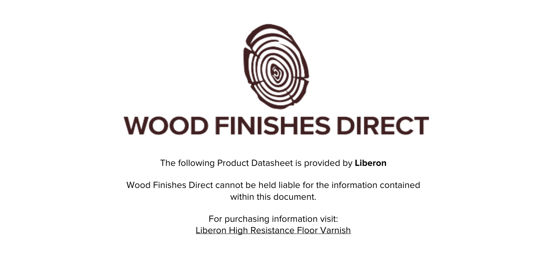

The following Product Datasheet is provided by **Liberon**

Wood Finishes Direct cannot be held liable for the information contained within this document.

> For purchasing information visit: [Liberon High Resistance Floor Varnish](https://www.wood-finishes-direct.com/product/liberon-high-resistance-floor-varnish)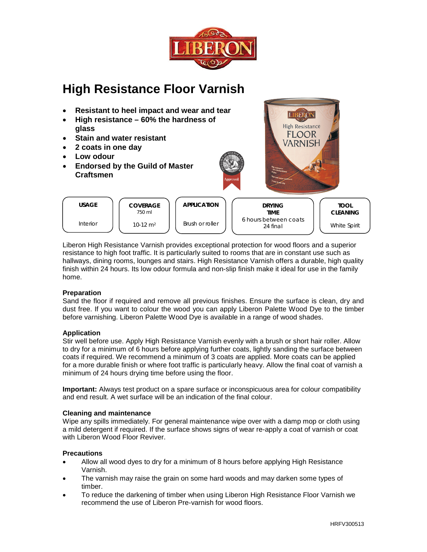

# **High Resistance Floor Varnish**



Liberon High Resistance Varnish provides exceptional protection for wood floors and a superior resistance to high foot traffic. It is particularly suited to rooms that are in constant use such as hallways, dining rooms, lounges and stairs. High Resistance Varnish offers a durable, high quality finish within 24 hours. Its low odour formula and non-slip finish make it ideal for use in the family home

## **Preparation**

Sand the floor if required and remove all previous finishes. Ensure the surface is clean, dry and dust free. If you want to colour the wood you can apply Liberon Palette Wood Dye to the timber before varnishing. Liberon Palette Wood Dye is available in a range of wood shades.

## **Application**

Stir well before use. Apply High Resistance Varnish evenly with a brush or short hair roller. Allow to dry for a minimum of 6 hours before applying further coats, lightly sanding the surface between coats if required. We recommend a minimum of 3 coats are applied. More coats can be applied for a more durable finish or where foot traffic is particularly heavy. Allow the final coat of varnish a minimum of 24 hours drying time before using the floor.

Important: Always test product on a spare surface or inconspicuous area for colour compatibility and end result. A wet surface will be an indication of the final colour.

## **Cleaning and maintenance**

Wipe any spills immediately. For general maintenance wipe over with a damp mop or cloth using a mild detergent if required. If the surface shows signs of wear re-apply a coat of varnish or coat with Liberon Wood Floor Reviver.

## **Precautions**

- Allow all wood dyes to dry for a minimum of 8 hours before applying High Resistance Varnish
- The varnish may raise the grain on some hard woods and may darken some types of  $\bullet$ timber.
- To reduce the darkening of timber when using Liberon High Resistance Floor Varnish we recommend the use of Liberon Pre-varnish for wood floors.